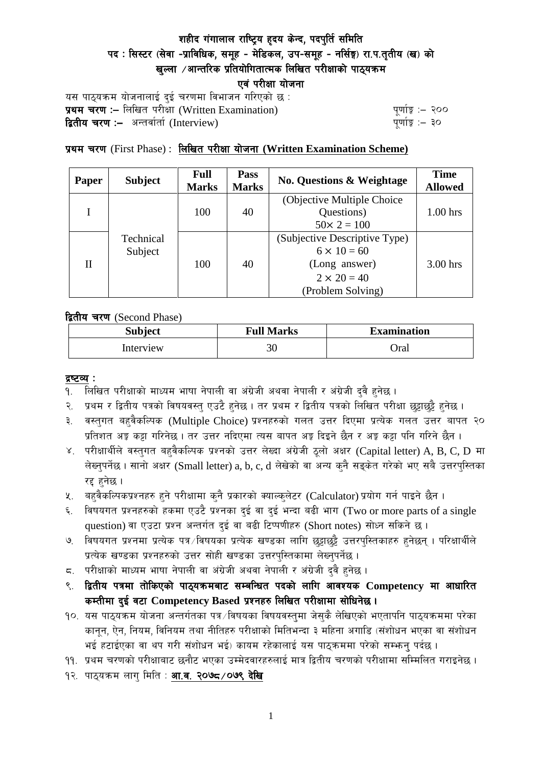# शहीद गंगालाल राष्ट्रिय हृदय केन्द, पदपुर्ति समिति पद: सिस्टर (सेवा -प्राविधिक, समूह - मेडिकल, उप-समूह - नर्सिङ्ग) रा.प.तृतीय (ख) को खल्ला  $\ell$ आन्तरिक प्रतियोगितात्मक लिखित परीक्षाको पाठ्यक्रम एवं परीक्षा योजना

यस पाठ्यक्रम योजनालाई दुई चरणमा विभाजन गरिएको छ : प्रथम चरण :- लिखित परीक्षा (Written Examination)  $\frac{d}{dx}$  and  $\frac{d}{dx}$  and  $\frac{d}{dx}$  are  $\frac{d}{dx}$ द्वितीय चरण :– अन्तर्वार्ता (Interview) katalactic metal metal metal metal wind wind with  $\frac{1}{2}$ 

## प्रथम चरण (First Phase) : लिखित परीक्षा योजना (Written Examination Scheme)

| <b>Paper</b> | <b>Subject</b>       | Full<br><b>Marks</b> | <b>Pass</b><br><b>Marks</b> | <b>No. Questions &amp; Weightage</b> | <b>Time</b><br><b>Allowed</b> |
|--------------|----------------------|----------------------|-----------------------------|--------------------------------------|-------------------------------|
|              | Technical<br>Subject | 100                  | 40                          | (Objective Multiple Choice)          |                               |
|              |                      |                      |                             | Questions)                           | $1.00$ hrs                    |
|              |                      |                      |                             | $50 \times 2 = 100$                  |                               |
| H            |                      | 100                  | 40                          | (Subjective Descriptive Type)        |                               |
|              |                      |                      |                             | $6 \times 10 = 60$                   |                               |
|              |                      |                      |                             | (Long answer)                        | $3.00$ hrs                    |
|              |                      |                      |                             | $2 \times 20 = 40$                   |                               |
|              |                      |                      |                             | (Problem Solving)                    |                               |

द्वितीय चरण (Second Phase)

| <b>Subject</b> | <b>Full Marks</b> | <b>Examination</b> |  |
|----------------|-------------------|--------------------|--|
| Interview      | 30                | )ral               |  |

#### द्रष्टव्य :

- १. लिखित परीक्षाको माध्यम भाषा नेपाली वा अंग्रेजी अथवा नेपाली र अंग्रेजी द्वै हुनेछ ।
- २. प्रथम र द्वितीय पत्रको विषयवस्त् एउटै हुनेछ । तर प्रथम र द्वितीय पत्रको लिखित परीक्षा छुट्टाछुट्टै हुनेछ ।
- ३. वस्तुगत बहुवैकल्पिक (Multiple Choice) प्रश्नहरुको गलत उत्तर दिएमा प्रत्येक गलत उत्तर बापत २० प्रतिशत अड़ू कट्टा गरिनेछ । तर उत्तर नदिएमा त्यस बापत अड़ू दिइने छैन र अड़ू कट्टा पनि गरिने छैन ।
- ४. परीक्षार्थीले वस्तुगत बहुवैकल्पिक प्रश्नको उत्तर लेख्दा अंग्रेजी ठूलो अक्षर (Capital letter) A, B, C, D मा लेख्नुपर्नेछ । सानो अक्षर (Small letter) a, b, c, d लेखेको वा अन्य कुनै सड्केत गरेको भए सबै उत्तरपुस्तिका रद्द हनेछ ।
- ५. वहवैकल्पिकप्रश्नहरु हुने परीक्षामा कुनै प्रकारको क्याल्कुलेटर (Calculator) प्रयोग गर्न पाइने छैन ।
- ६. विषयगत प्रश्नहरुको हकमा एउटै प्रश्नका दुई वा दुई भन्दा बढी भाग (Two or more parts of a single question) वा एउटा प्रश्न अन्तर्गत दुई वा बढी टिप्पणीहरु (Short notes) सोध्न सकिने छ।
- ७. विषयगत प्रश्नमा प्रत्येक पत्र ∕विषयका प्रत्येक खण्डका लागि छट्टाछट्टै उत्तरपुस्तिकाहरु हुनेछन् । परिक्षार्थीले प्रत्येक खण्डका प्रश्नहरुको उत्तर सोही खण्डका उत्तरपस्तिकामा लेख्नपर्नेछ ।
- $\,$ द. परीक्षाको माध्यम भाषा नेपाली वा अंग्रेजी अथवा नेपाली र अंग्रेजी द्वै हुनेछ ।
- ९. द्वितीय पत्रमा तोकिएको पाठ्यक्रमबाट सम्बन्धित पदको लागि आवश्यक Competency मा आधारित कम्तीमा दई वटा Competency Based प्रश्नहरु लिखित परीक्षामा सोधिनेछ।
- १०. यस पाठ्यक्रम योजना अन्तर्गतका पत्र ∕विषयका विषयवस्त्**मा जेस्**कै लेखिएको भएतापनि पाठ्यक्रममा परेका कानून, ऐन, नियम, विनियम तथा नीतिहरु परीक्षाको मितिभन्दा ३ महिना अगाडि (संशोधन भएका वा संशोधन भई हटाईएका वा थप गरी संशोधन भई) कायम रहेकालाई यस पाठकममा परेको सम्भन्न पर्दछ ।
- ११. प्रथम चरणको परीक्षाबाट छनौट भएका उम्मेदवारहरुलाई मात्र द्वितीय चरणको परीक्षामा सम्मिलित गराइनेछ ।
- १२. पाठ्यक्रम लाग मिति : **आ.व. २०७८ /०७९ देखि**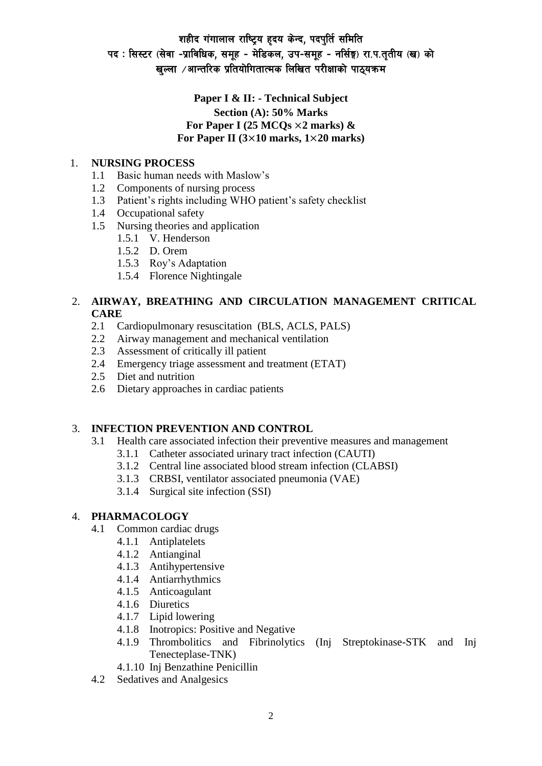# शहीद गंगालाल राष्ट्रिय हृदय केन्द, पदपुर्ति समिति पद: सिस्टर (सेवा -प्राविधिक, समूह - मेडिकल, उप-समूह - नर्सिङ्ग) रा.प.तुतीय (ख) को खल्ला  $\ell$ आन्तरिक प्रतियोगितात्मक लिखित परीक्षाको पाठयक्रम

## **Paper I & II: - Technical Subject Section (A): 50% Marks** For Paper I (25  $MCQs \times 2$  marks)  $\&$ **For Paper II (3**×**10 marks, 1**×**20 marks)**

### 1. **NURSING PROCESS**

- 1.1 Basic human needs with Maslow's
- 1.2 Components of nursing process
- 1.3 Patient's rights including WHO patient's safety checklist
- 1.4 Occupational safety
- 1.5 Nursing theories and application
	- 1.5.1 V. Henderson
	- 1.5.2 D. Orem
	- 1.5.3 Roy's Adaptation
	- 1.5.4 Florence Nightingale

### 2. **AIRWAY, BREATHING AND CIRCULATION MANAGEMENT CRITICAL CARE**

- 2.1 Cardiopulmonary resuscitation (BLS, ACLS, PALS)
- 2.2 Airway management and mechanical ventilation
- 2.3 Assessment of critically ill patient
- 2.4 Emergency triage assessment and treatment (ETAT)
- 2.5 Diet and nutrition
- 2.6 Dietary approaches in cardiac patients

### 3. **INFECTION PREVENTION AND CONTROL**

- 3.1 Health care associated infection their preventive measures and management
	- 3.1.1 Catheter associated urinary tract infection (CAUTI)
	- 3.1.2 Central line associated blood stream infection (CLABSI)
	- 3.1.3 CRBSI, ventilator associated pneumonia (VAE)
	- 3.1.4 Surgical site infection (SSI)

### 4. **PHARMACOLOGY**

- 4.1 Common cardiac drugs
	- 4.1.1 Antiplatelets
	- 4.1.2 Antianginal
	- 4.1.3 Antihypertensive
	- 4.1.4 Antiarrhythmics
	- 4.1.5 Anticoagulant
	- 4.1.6 Diuretics
	- 4.1.7 Lipid lowering
	- 4.1.8 Inotropics: Positive and Negative
	- 4.1.9 Thrombolitics and Fibrinolytics (Inj Streptokinase-STK and Inj Tenecteplase-TNK)
	- 4.1.10 Inj Benzathine Penicillin
- 4.2 Sedatives and Analgesics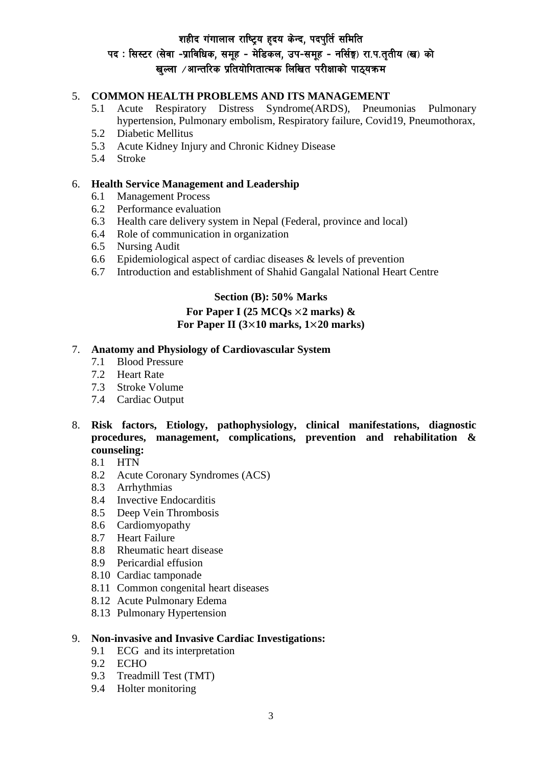# शहीद गंगालाल राष्ट्रिय हृदय केन्द, पदपुर्ति समिति पद: सिस्टर (सेवा -प्राविधिक, समूह - मेडिकल, उप-समूह - नर्सिङ्ग) रा.प.तुतीय (ख) को खल्ला  $\ell$ आन्तरिक प्रतियोगितात्मक लिखित परीक्षाको पाठयक्रम

## 5. **COMMON HEALTH PROBLEMS AND ITS MANAGEMENT**

- 5.1 Acute Respiratory Distress Syndrome(ARDS), Pneumonias Pulmonary hypertension, Pulmonary embolism, Respiratory failure, Covid19, Pneumothorax,
- 5.2 Diabetic Mellitus
- 5.3 Acute Kidney Injury and Chronic Kidney Disease
- 5.4 Stroke

#### 6. **Health Service Management and Leadership**

- 6.1 Management Process
- 6.2 Performance evaluation
- 6.3 Health care delivery system in Nepal (Federal, province and local)
- 6.4 Role of communication in organization
- 6.5 Nursing Audit
- 6.6 Epidemiological aspect of cardiac diseases & levels of prevention
- 6.7 Introduction and establishment of Shahid Gangalal National Heart Centre

## **Section (B): 50% Marks For Paper I (25 MCQs** ×**2 marks) & For Paper II (3**×**10 marks, 1**×**20 marks)**

#### 7. **Anatomy and Physiology of Cardiovascular System**

- 7.1 Blood Pressure
- 7.2 Heart Rate
- 7.3 Stroke Volume
- 7.4 Cardiac Output

## 8. **Risk factors, Etiology, pathophysiology, clinical manifestations, diagnostic procedures, management, complications, prevention and rehabilitation & counseling:**

- 8.1 HTN
- 8.2 Acute Coronary Syndromes (ACS)
- 8.3 Arrhythmias
- 8.4 Invective Endocarditis
- 8.5 Deep Vein Thrombosis
- 8.6 Cardiomyopathy
- 8.7 Heart Failure
- 8.8 Rheumatic heart disease
- 8.9 Pericardial effusion
- 8.10 Cardiac tamponade
- 8.11 Common congenital heart diseases
- 8.12 Acute Pulmonary Edema
- 8.13 Pulmonary Hypertension

#### 9. **Non-invasive and Invasive Cardiac Investigations:**

- 9.1 ECG and its interpretation
- 9.2 ECHO
- 9.3 Treadmill Test (TMT)
- 9.4 Holter monitoring